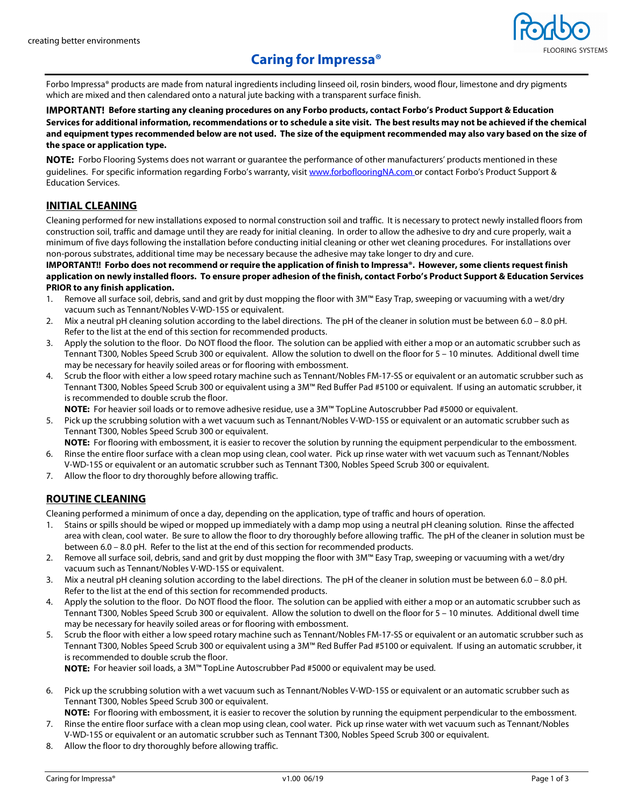

# **Caring for Impressa®**

Forbo Impressa® products are made from natural ingredients including linseed oil, rosin binders, wood flour, limestone and dry pigments which are mixed and then calendared onto a natural jute backing with a transparent surface finish.

### **IMPORTANT! Before starting any cleaning procedures on any Forbo products, contact Forbo's Product Support & Education Services for additional information, recommendations or to schedule a site visit. The best results may not be achieved if the chemical and equipment types recommended below are not used. The size of the equipment recommended may also vary based on the size of the space or application type.**

**NOTE:** Forbo Flooring Systems does not warrant or guarantee the performance of other manufacturers' products mentioned in these guidelines. For specific information regarding Forbo's warranty, visit www.forboflooringNA.com or contact Forbo's Product Support & Education Services.

## **INITIAL CLEANING**

Cleaning performed for new installations exposed to normal construction soil and traffic. It is necessary to protect newly installed floors from construction soil, traffic and damage until they are ready for initial cleaning. In order to allow the adhesive to dry and cure properly, wait a minimum of five days following the installation before conducting initial cleaning or other wet cleaning procedures. For installations over non-porous substrates, additional time may be necessary because the adhesive may take longer to dry and cure.

**IMPORTANT!! Forbo does not recommend or require the application of finish to Impressa®. However, some clients request finish application on newly installed floors. To ensure proper adhesion of the finish, contact Forbo's Product Support & Education Services PRIOR to any finish application.** 

- 1. Remove all surface soil, debris, sand and grit by dust mopping the floor with 3M™ Easy Trap, sweeping or vacuuming with a wet/dry vacuum such as Tennant/Nobles V-WD-15S or equivalent.
- 2. Mix a neutral pH cleaning solution according to the label directions. The pH of the cleaner in solution must be between 6.0 8.0 pH. Refer to the list at the end of this section for recommended products.
- 3. Apply the solution to the floor. Do NOT flood the floor. The solution can be applied with either a mop or an automatic scrubber such as Tennant T300, Nobles Speed Scrub 300 or equivalent. Allow the solution to dwell on the floor for 5 – 10 minutes. Additional dwell time may be necessary for heavily soiled areas or for flooring with embossment.
- 4. Scrub the floor with either a low speed rotary machine such as Tennant/Nobles FM-17-SS or equivalent or an automatic scrubber such as Tennant T300, Nobles Speed Scrub 300 or equivalent using a 3M™ Red Buffer Pad #5100 or equivalent. If using an automatic scrubber, it is recommended to double scrub the floor.
	- **NOTE:** For heavier soil loads or to remove adhesive residue, use a 3M™ TopLine Autoscrubber Pad #5000 or equivalent.
- 5. Pick up the scrubbing solution with a wet vacuum such as Tennant/Nobles V-WD-15S or equivalent or an automatic scrubber such as Tennant T300, Nobles Speed Scrub 300 or equivalent.

**NOTE:** For flooring with embossment, it is easier to recover the solution by running the equipment perpendicular to the embossment.

- 6. Rinse the entire floor surface with a clean mop using clean, cool water. Pick up rinse water with wet vacuum such as Tennant/Nobles V-WD-15S or equivalent or an automatic scrubber such as Tennant T300, Nobles Speed Scrub 300 or equivalent.
- 7. Allow the floor to dry thoroughly before allowing traffic.

# **ROUTINE CLEANING**

Cleaning performed a minimum of once a day, depending on the application, type of traffic and hours of operation.

- 1. Stains or spills should be wiped or mopped up immediately with a damp mop using a neutral pH cleaning solution. Rinse the affected area with clean, cool water. Be sure to allow the floor to dry thoroughly before allowing traffic. The pH of the cleaner in solution must be between 6.0 – 8.0 pH. Refer to the list at the end of this section for recommended products.
- 2. Remove all surface soil, debris, sand and grit by dust mopping the floor with 3M™ Easy Trap, sweeping or vacuuming with a wet/dry vacuum such as Tennant/Nobles V-WD-15S or equivalent.
- 3. Mix a neutral pH cleaning solution according to the label directions. The pH of the cleaner in solution must be between 6.0 8.0 pH. Refer to the list at the end of this section for recommended products.
- 4. Apply the solution to the floor. Do NOT flood the floor. The solution can be applied with either a mop or an automatic scrubber such as Tennant T300, Nobles Speed Scrub 300 or equivalent. Allow the solution to dwell on the floor for 5 – 10 minutes. Additional dwell time may be necessary for heavily soiled areas or for flooring with embossment.
- 5. Scrub the floor with either a low speed rotary machine such as Tennant/Nobles FM-17-SS or equivalent or an automatic scrubber such as Tennant T300, Nobles Speed Scrub 300 or equivalent using a 3M™ Red Buffer Pad #5100 or equivalent. If using an automatic scrubber, it is recommended to double scrub the floor.

**NOTE:** For heavier soil loads, a 3M™ TopLine Autoscrubber Pad #5000 or equivalent may be used.

- 6. Pick up the scrubbing solution with a wet vacuum such as Tennant/Nobles V-WD-15S or equivalent or an automatic scrubber such as Tennant T300, Nobles Speed Scrub 300 or equivalent.
- **NOTE:** For flooring with embossment, it is easier to recover the solution by running the equipment perpendicular to the embossment. 7. Rinse the entire floor surface with a clean mop using clean, cool water. Pick up rinse water with wet vacuum such as Tennant/Nobles
- V-WD-15S or equivalent or an automatic scrubber such as Tennant T300, Nobles Speed Scrub 300 or equivalent.
- 8. Allow the floor to dry thoroughly before allowing traffic.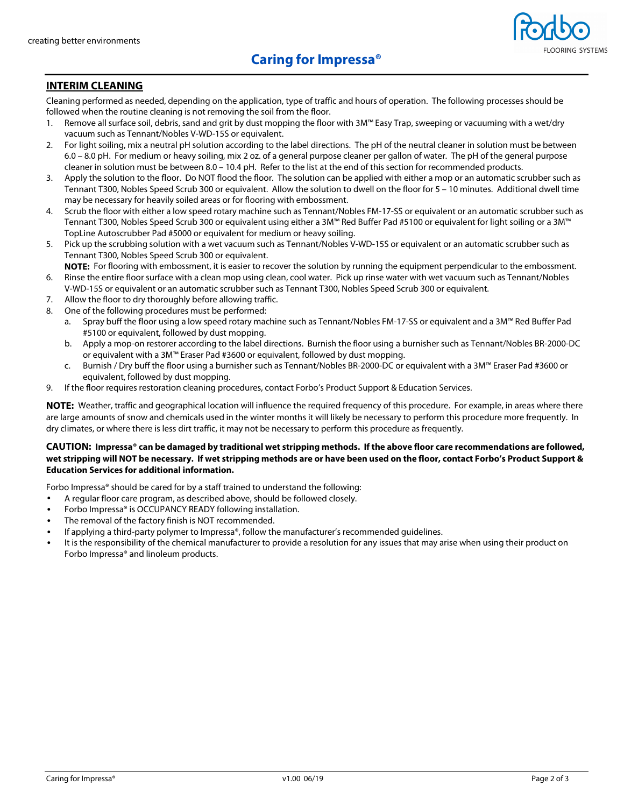

### **INTERIM CLEANING**

Cleaning performed as needed, depending on the application, type of traffic and hours of operation. The following processes should be followed when the routine cleaning is not removing the soil from the floor.

- 1. Remove all surface soil, debris, sand and grit by dust mopping the floor with 3M™ Easy Trap, sweeping or vacuuming with a wet/dry vacuum such as Tennant/Nobles V-WD-15S or equivalent.
- 2. For light soiling, mix a neutral pH solution according to the label directions. The pH of the neutral cleaner in solution must be between 6.0 – 8.0 pH. For medium or heavy soiling, mix 2 oz. of a general purpose cleaner per gallon of water. The pH of the general purpose cleaner in solution must be between 8.0 – 10.4 pH. Refer to the list at the end of this section for recommended products.
- 3. Apply the solution to the floor. Do NOT flood the floor. The solution can be applied with either a mop or an automatic scrubber such as Tennant T300, Nobles Speed Scrub 300 or equivalent. Allow the solution to dwell on the floor for 5 – 10 minutes. Additional dwell time may be necessary for heavily soiled areas or for flooring with embossment.
- 4. Scrub the floor with either a low speed rotary machine such as Tennant/Nobles FM-17-SS or equivalent or an automatic scrubber such as Tennant T300, Nobles Speed Scrub 300 or equivalent using either a 3M™ Red Buffer Pad #5100 or equivalent for light soiling or a 3M™ TopLine Autoscrubber Pad #5000 or equivalent for medium or heavy soiling.
- 5. Pick up the scrubbing solution with a wet vacuum such as Tennant/Nobles V-WD-15S or equivalent or an automatic scrubber such as Tennant T300, Nobles Speed Scrub 300 or equivalent.
- **NOTE:** For flooring with embossment, it is easier to recover the solution by running the equipment perpendicular to the embossment. 6. Rinse the entire floor surface with a clean mop using clean, cool water. Pick up rinse water with wet vacuum such as Tennant/Nobles
- V-WD-15S or equivalent or an automatic scrubber such as Tennant T300, Nobles Speed Scrub 300 or equivalent.
- 7. Allow the floor to dry thoroughly before allowing traffic.
- 8. One of the following procedures must be performed:
	- a. Spray buff the floor using a low speed rotary machine such as Tennant/Nobles FM-17-SS or equivalent and a 3M™ Red Buffer Pad #5100 or equivalent, followed by dust mopping.
	- b. Apply a mop-on restorer according to the label directions. Burnish the floor using a burnisher such as Tennant/Nobles BR-2000-DC or equivalent with a 3M™ Eraser Pad #3600 or equivalent, followed by dust mopping.
	- c. Burnish / Dry buff the floor using a burnisher such as Tennant/Nobles BR-2000-DC or equivalent with a 3M™ Eraser Pad #3600 or equivalent, followed by dust mopping.
- 9. If the floor requires restoration cleaning procedures, contact Forbo's Product Support & Education Services.

**NOTE:** Weather, traffic and geographical location will influence the required frequency of this procedure. For example, in areas where there are large amounts of snow and chemicals used in the winter months it will likely be necessary to perform this procedure more frequently. In dry climates, or where there is less dirt traffic, it may not be necessary to perform this procedure as frequently.

#### **CAUTION: Impressa® can be damaged by traditional wet stripping methods. If the above floor care recommendations are followed, wet stripping will NOT be necessary. If wet stripping methods are or have been used on the floor, contact Forbo's Product Support & Education Services for additional information.**

Forbo Impressa® should be cared for by a staff trained to understand the following:

- A regular floor care program, as described above, should be followed closely.
- Forbo Impressa® is OCCUPANCY READY following installation.
- The removal of the factory finish is NOT recommended.
- If applying a third-party polymer to Impressa®, follow the manufacturer's recommended quidelines.
- It is the responsibility of the chemical manufacturer to provide a resolution for any issues that may arise when using their product on Forbo Impressa® and linoleum products.